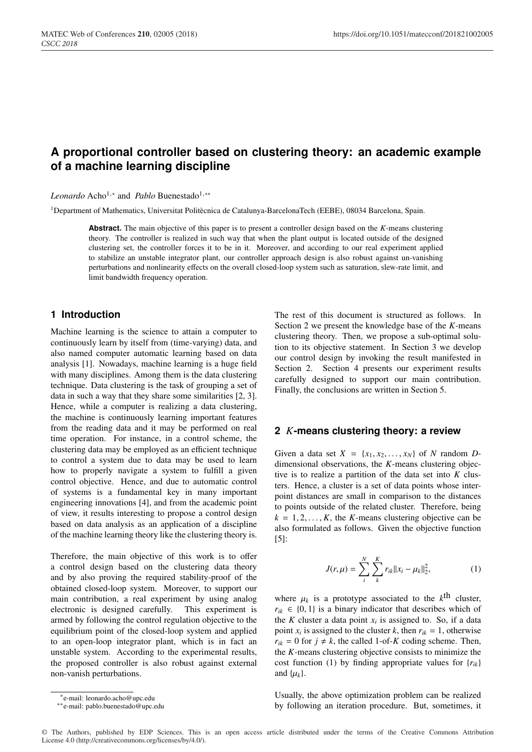# **A proportional controller based on clustering theory: an academic example of a machine learning discipline**

*Leonardo* Acho<sup>1,∗</sup> and *Pablo* Buenestado<sup>1,</sup>\*\*

1Department of Mathematics, Universitat Politècnica de Catalunya-BarcelonaTech (EEBE), 08034 Barcelona, Spain.

**Abstract.** The main objective of this paper is to present a controller design based on the *K*-means clustering theory. The controller is realized in such way that when the plant output is located outside of the designed clustering set, the controller forces it to be in it. Moreover, and according to our real experiment applied to stabilize an unstable integrator plant, our controller approach design is also robust against un-vanishing perturbations and nonlinearity effects on the overall closed-loop system such as saturation, slew-rate limit, and limit bandwidth frequency operation.

# **1 Introduction**

Machine learning is the science to attain a computer to continuously learn by itself from (time-varying) data, and also named computer automatic learning based on data analysis [1]. Nowadays, machine learning is a huge field with many disciplines. Among them is the data clustering technique. Data clustering is the task of grouping a set of data in such a way that they share some similarities [2, 3]. Hence, while a computer is realizing a data clustering, the machine is continuously learning important features from the reading data and it may be performed on real time operation. For instance, in a control scheme, the clustering data may be employed as an efficient technique to control a system due to data may be used to learn how to properly navigate a system to fulfill a given control objective. Hence, and due to automatic control of systems is a fundamental key in many important engineering innovations [4], and from the academic point of view, it results interesting to propose a control design based on data analysis as an application of a discipline of the machine learning theory like the clustering theory is.

Therefore, the main objective of this work is to offer a control design based on the clustering data theory and by also proving the required stability-proof of the obtained closed-loop system. Moreover, to support our main contribution, a real experiment by using analog electronic is designed carefully. This experiment is armed by following the control regulation objective to the equilibrium point of the closed-loop system and applied to an open-loop integrator plant, which is in fact an unstable system. According to the experimental results, the proposed controller is also robust against external non-vanish perturbations.

The rest of this document is structured as follows. In Section 2 we present the knowledge base of the *K*-means clustering theory. Then, we propose a sub-optimal solution to its objective statement. In Section 3 we develop our control design by invoking the result manifested in Section 2. Section 4 presents our experiment results carefully designed to support our main contribution. Finally, the conclusions are written in Section 5.

# **2** *K***-means clustering theory: a review**

Given a data set  $X = \{x_1, x_2, \ldots, x_N\}$  of *N* random *D*dimensional observations, the *K*-means clustering objective is to realize a partition of the data set into *K* clusters. Hence, a cluster is a set of data points whose interpoint distances are small in comparison to the distances to points outside of the related cluster. Therefore, being  $k = 1, 2, \ldots, K$ , the *K*-means clustering objective can be also formulated as follows. Given the objective function [5]:

$$
J(r,\mu) = \sum_{i}^{N} \sum_{k}^{K} r_{ik} ||x_i - \mu_k||_2^2, \qquad (1)
$$

where  $\mu_k$  is a prototype associated to the  $k^{\text{th}}$  cluster,  $r_{ik} \in \{0, 1\}$  is a binary indicator that describes which of the  $K$  cluster a data point  $x_i$  is assigned to. So, if a data point  $x_i$  is assigned to the cluster  $k$ , then  $r_{ik} = 1$ , otherwise  $r_{ik} = 0$  for  $j \neq k$ , the called 1-of-*K* coding scheme. Then, the *K*-means clustering objective consists to minimize the cost function (1) by finding appropriate values for  ${r_{ik}}$ and  $\{\mu_k\}$ .

Usually, the above optimization problem can be realized by following an iteration procedure. But, sometimes, it

<sup>∗</sup>e-mail: leonardo.acho@upc.edu

<sup>∗∗</sup>e-mail: pablo.buenestado@upc.edu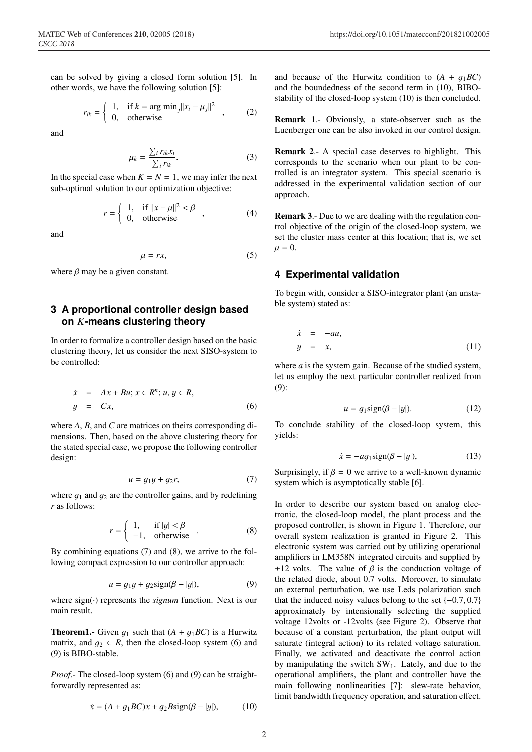can be solved by giving a closed form solution [5]. In other words, we have the following solution [5]:

$$
r_{ik} = \begin{cases} 1, & \text{if } k = \arg \min_j ||x_i - \mu_j||^2 \\ 0, & \text{otherwise} \end{cases}
$$
 (2)

and

$$
\mu_k = \frac{\sum_i r_{ik} x_i}{\sum_i r_{ik}}.\tag{3}
$$

In the special case when  $K = N = 1$ , we may infer the next sub-optimal solution to our optimization objective:

$$
r = \begin{cases} 1, & \text{if } ||x - \mu||^2 < \beta \\ 0, & \text{otherwise} \end{cases}
$$
 (4)

and

$$
\mu = rx,\tag{5}
$$

where  $\beta$  may be a given constant.

# **3 A proportional controller design based on** *K***-means clustering theory**

In order to formalize a controller design based on the basic clustering theory, let us consider the next SISO-system to be controlled:

$$
\dot{x} = Ax + Bu; x \in R^{n}; u, y \in R,
$$
  
\n
$$
y = Cx,
$$
\n(6)

where *A*, *B*, and *C* are matrices on theirs corresponding dimensions. Then, based on the above clustering theory for the stated special case, we propose the following controller design:

$$
u = g_1 y + g_2 r,\tag{7}
$$

where  $q_1$  and  $q_2$  are the controller gains, and by redefining *r* as follows:

$$
r = \begin{cases} 1, & \text{if } |y| < \beta \\ -1, & \text{otherwise} \end{cases}
$$
 (8)

By combining equations (7) and (8), we arrive to the following compact expression to our controller approach:

$$
u = g_1 y + g_2 \text{sign}(\beta - |y|),\tag{9}
$$

where sign(·) represents the *signum* function. Next is our main result.

**Theorem1.-** Given  $q_1$  such that  $(A + q_1 BC)$  is a Hurwitz matrix, and  $q_2 \in R$ , then the closed-loop system (6) and (9) is BIBO-stable.

*Proof*.- The closed-loop system (6) and (9) can be straightforwardly represented as:

$$
\dot{x} = (A + g_1 BC)x + g_2 B \text{sign}(\beta - |y|),\tag{10}
$$

and because of the Hurwitz condition to  $(A + q_1 BC)$ and the boundedness of the second term in (10), BIBOstability of the closed-loop system (10) is then concluded.

Remark 1.- Obviously, a state-observer such as the Luenberger one can be also invoked in our control design.

Remark 2.- A special case deserves to highlight. This corresponds to the scenario when our plant to be controlled is an integrator system. This special scenario is addressed in the experimental validation section of our approach.

Remark 3.- Due to we are dealing with the regulation control objective of the origin of the closed-loop system, we set the cluster mass center at this location; that is, we set  $\mu = 0$ .

#### **4 Experimental validation**

To begin with, consider a SISO-integrator plant (an unstable system) stated as:

$$
\dot{x} = -au,
$$
  
\n
$$
y = x,
$$
 (11)

where *a* is the system gain. Because of the studied system, let us employ the next particular controller realized from (9):

$$
u = g_1 \text{sign}(\beta - |y|). \tag{12}
$$

To conclude stability of the closed-loop system, this yields:

$$
\dot{x} = -ag_1 \text{sign}(\beta - |y|),\tag{13}
$$

Surprisingly, if  $\beta = 0$  we arrive to a well-known dynamic system which is asymptotically stable [6].

In order to describe our system based on analog electronic, the closed-loop model, the plant process and the proposed controller, is shown in Figure 1. Therefore, our overall system realization is granted in Figure 2. This electronic system was carried out by utilizing operational amplifiers in LM358N integrated circuits and supplied by  $\pm 12$  volts. The value of  $\beta$  is the conduction voltage of the related diode, about 0.7 volts. Moreover, to simulate an external perturbation, we use Leds polarization such that the induced noisy values belong to the set  $\{-0.7, 0.7\}$ approximately by intensionally selecting the supplied voltage 12volts or -12volts (see Figure 2). Observe that because of a constant perturbation, the plant output will saturate (integral action) to its related voltage saturation. Finally, we activated and deactivate the control action by manipulating the switch  $SW<sub>1</sub>$ . Lately, and due to the operational amplifiers, the plant and controller have the main following nonlinearities [7]: slew-rate behavior, limit bandwidth frequency operation, and saturation effect.